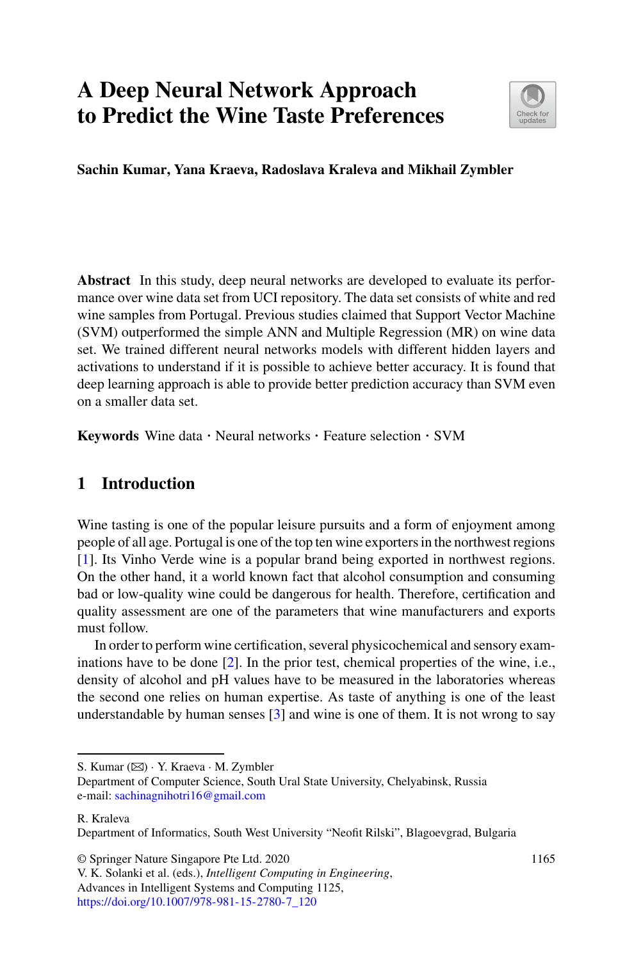# **A Deep Neural Network Approach to Predict the Wine Taste Preferences**



**Sachin Kumar, Yana Kraeva, Radoslava Kraleva and Mikhail Zymbler**

**Abstract** In this study, deep neural networks are developed to evaluate its performance over wine data set from UCI repository. The data set consists of white and red wine samples from Portugal. Previous studies claimed that Support Vector Machine (SVM) outperformed the simple ANN and Multiple Regression (MR) on wine data set. We trained different neural networks models with different hidden layers and activations to understand if it is possible to achieve better accuracy. It is found that deep learning approach is able to provide better prediction accuracy than SVM even on a smaller data set.

**Keywords** Wine data · Neural networks · Feature selection · SVM

## **1 Introduction**

Wine tasting is one of the popular leisure pursuits and a form of enjoyment among people of all age. Portugal is one of the top ten wine exporters in the northwest regions [1]. Its Vinho Verde wine is a popular brand being exported in northwest regions. On the other hand, it a world known fact that alcohol consumption and consuming bad or low-quality wine could be dangerous for health. Therefore, certification and quality assessment are one of the parameters that wine manufacturers and exports must follow.

In order to perform wine certification, several physicochemical and sensory examinations have to be done [2]. In the prior test, chemical properties of the wine, i.e., density of alcohol and pH values have to be measured in the laboratories whereas the second one relies on human expertise. As taste of anything is one of the least understandable by human senses [3] and wine is one of them. It is not wrong to say

S. Kumar (B) · Y. Kraeva · M. Zymbler

R. Kraleva

Department of Informatics, South West University "Neofit Rilski", Blagoevgrad, Bulgaria

© Springer Nature Singapore Pte Ltd. 2020

Department of Computer Science, South Ural State University, Chelyabinsk, Russia e-mail: [sachinagnihotri16@gmail.com](mailto:sachinagnihotri16@gmail.com)

V. K. Solanki et al. (eds.), *Intelligent Computing in Engineering*, Advances in Intelligent Systems and Computing 1125, [https://doi.org/10.1007/978-981-15-2780-7\\_120](https://doi.org/10.1007/978-981-15-2780-7_120)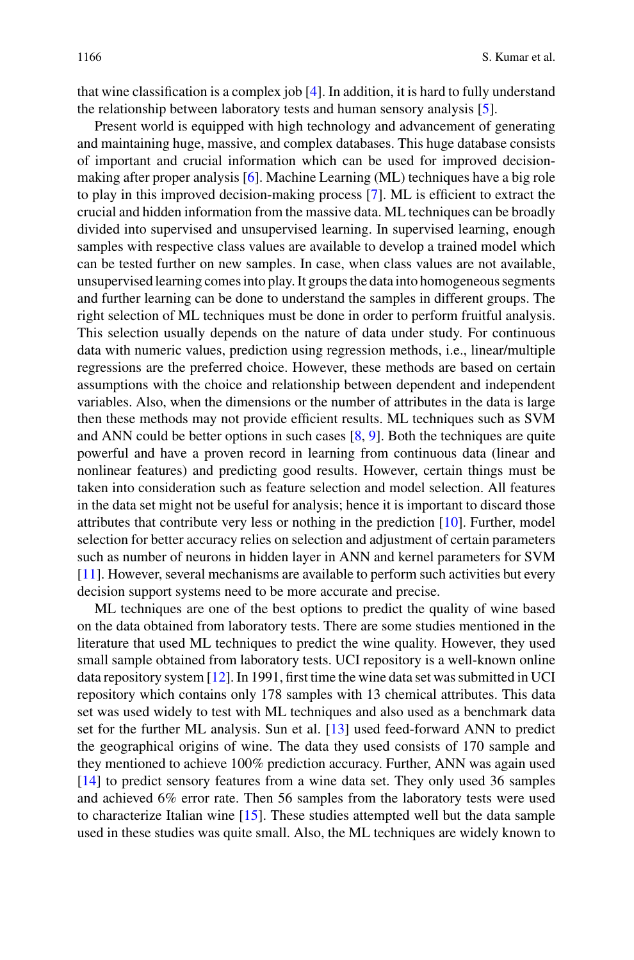that wine classification is a complex job [4]. In addition, it is hard to fully understand the relationship between laboratory tests and human sensory analysis [5].

Present world is equipped with high technology and advancement of generating and maintaining huge, massive, and complex databases. This huge database consists of important and crucial information which can be used for improved decisionmaking after proper analysis [6]. Machine Learning (ML) techniques have a big role to play in this improved decision-making process [7]. ML is efficient to extract the crucial and hidden information from the massive data. ML techniques can be broadly divided into supervised and unsupervised learning. In supervised learning, enough samples with respective class values are available to develop a trained model which can be tested further on new samples. In case, when class values are not available, unsupervised learning comes into play. It groups the data into homogeneous segments and further learning can be done to understand the samples in different groups. The right selection of ML techniques must be done in order to perform fruitful analysis. This selection usually depends on the nature of data under study. For continuous data with numeric values, prediction using regression methods, i.e., linear/multiple regressions are the preferred choice. However, these methods are based on certain assumptions with the choice and relationship between dependent and independent variables. Also, when the dimensions or the number of attributes in the data is large then these methods may not provide efficient results. ML techniques such as SVM and ANN could be better options in such cases [8, 9]. Both the techniques are quite powerful and have a proven record in learning from continuous data (linear and nonlinear features) and predicting good results. However, certain things must be taken into consideration such as feature selection and model selection. All features in the data set might not be useful for analysis; hence it is important to discard those attributes that contribute very less or nothing in the prediction [10]. Further, model selection for better accuracy relies on selection and adjustment of certain parameters such as number of neurons in hidden layer in ANN and kernel parameters for SVM [11]. However, several mechanisms are available to perform such activities but every decision support systems need to be more accurate and precise.

ML techniques are one of the best options to predict the quality of wine based on the data obtained from laboratory tests. There are some studies mentioned in the literature that used ML techniques to predict the wine quality. However, they used small sample obtained from laboratory tests. UCI repository is a well-known online data repository system [12]. In 1991, first time the wine data set was submitted in UCI repository which contains only 178 samples with 13 chemical attributes. This data set was used widely to test with ML techniques and also used as a benchmark data set for the further ML analysis. Sun et al. [13] used feed-forward ANN to predict the geographical origins of wine. The data they used consists of 170 sample and they mentioned to achieve 100% prediction accuracy. Further, ANN was again used [14] to predict sensory features from a wine data set. They only used 36 samples and achieved 6% error rate. Then 56 samples from the laboratory tests were used to characterize Italian wine [15]. These studies attempted well but the data sample used in these studies was quite small. Also, the ML techniques are widely known to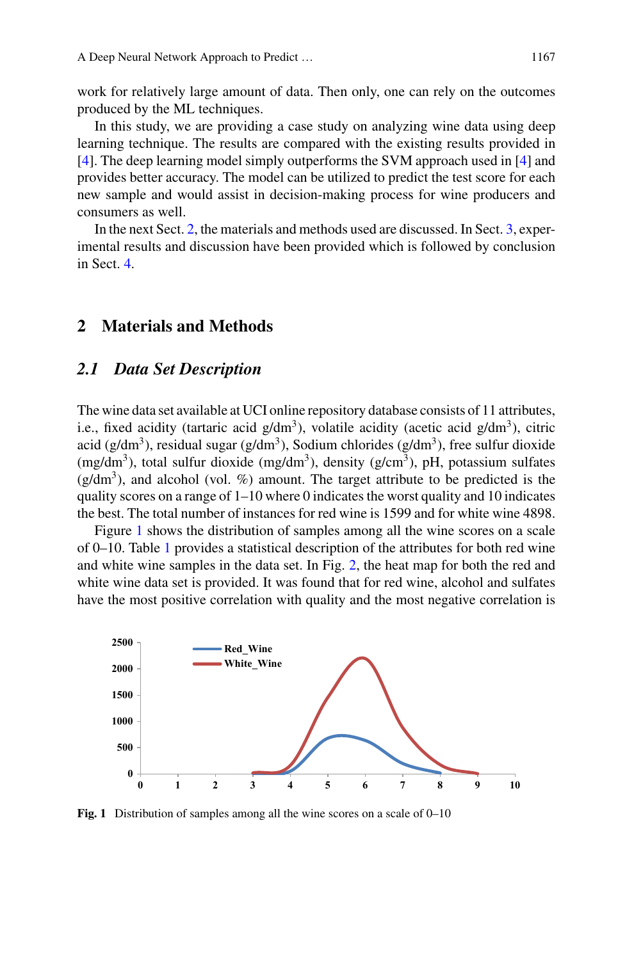work for relatively large amount of data. Then only, one can rely on the outcomes produced by the ML techniques.

In this study, we are providing a case study on analyzing wine data using deep learning technique. The results are compared with the existing results provided in [4]. The deep learning model simply outperforms the SVM approach used in [4] and provides better accuracy. The model can be utilized to predict the test score for each new sample and would assist in decision-making process for wine producers and consumers as well.

In the next Sect. 2, the materials and methods used are discussed. In Sect. 3, experimental results and discussion have been provided which is followed by conclusion in Sect. 4.

#### **2 Materials and Methods**

#### *2.1 Data Set Description*

The wine data set available at UCI online repository database consists of 11 attributes, i.e., fixed acidity (tartaric acid  $g/dm<sup>3</sup>$ ), volatile acidity (acetic acid  $g/dm<sup>3</sup>$ ), citric acid (g/dm<sup>3</sup>), residual sugar (g/dm<sup>3</sup>), Sodium chlorides (g/dm<sup>3</sup>), free sulfur dioxide (mg/dm<sup>3</sup>), total sulfur dioxide (mg/dm<sup>3</sup>), density (g/cm<sup>3</sup>), pH, potassium sulfates  $(g/dm<sup>3</sup>)$ , and alcohol (vol. %) amount. The target attribute to be predicted is the quality scores on a range of  $1-10$  where 0 indicates the worst quality and 10 indicates the best. The total number of instances for red wine is 1599 and for white wine 4898.

Figure 1 shows the distribution of samples among all the wine scores on a scale of 0–10. Table 1 provides a statistical description of the attributes for both red wine and white wine samples in the data set. In Fig. 2, the heat map for both the red and white wine data set is provided. It was found that for red wine, alcohol and sulfates have the most positive correlation with quality and the most negative correlation is



**Fig. 1** Distribution of samples among all the wine scores on a scale of 0–10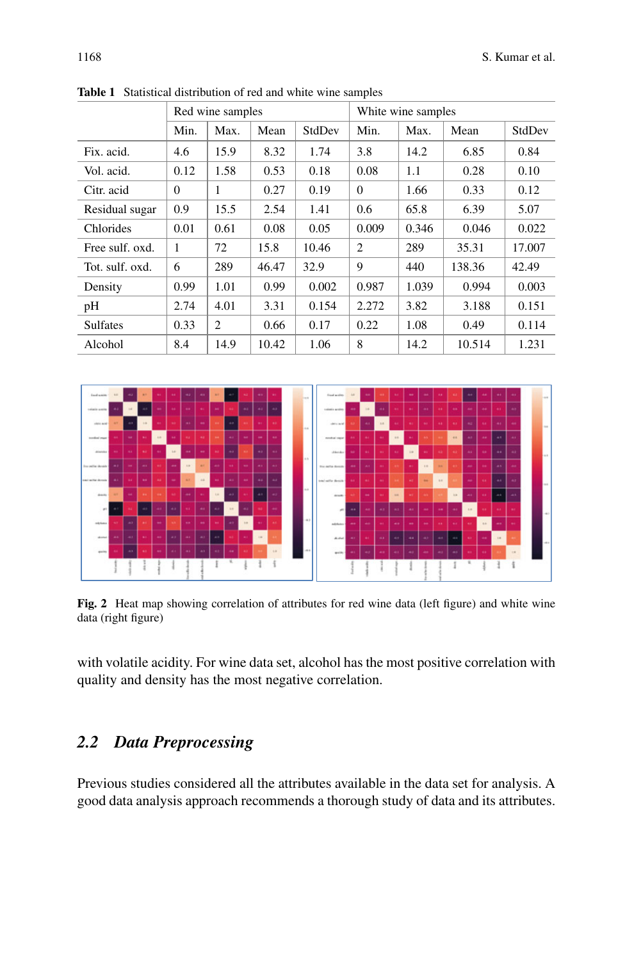|                  | Red wine samples |      |       |        | White wine samples |       |        |        |
|------------------|------------------|------|-------|--------|--------------------|-------|--------|--------|
|                  | Min.             | Max. | Mean  | StdDev | Min.               | Max.  | Mean   | StdDev |
| Fix. acid.       | 4.6              | 15.9 | 8.32  | 1.74   | 3.8                | 14.2  | 6.85   | 0.84   |
| Vol. acid.       | 0.12             | 1.58 | 0.53  | 0.18   | 0.08               | 1.1   | 0.28   | 0.10   |
| Citr. acid       | $\Omega$         | 1    | 0.27  | 0.19   | $\Omega$           | 1.66  | 0.33   | 0.12   |
| Residual sugar   | 0.9              | 15.5 | 2.54  | 1.41   | 0.6                | 65.8  | 6.39   | 5.07   |
| <b>Chlorides</b> | 0.01             | 0.61 | 0.08  | 0.05   | 0.009              | 0.346 | 0.046  | 0.022  |
| Free sulf. oxd.  | 1                | 72   | 15.8  | 10.46  | 2                  | 289   | 35.31  | 17.007 |
| Tot. sulf. oxd.  | 6                | 289  | 46.47 | 32.9   | 9                  | 440   | 138.36 | 42.49  |
| Density          | 0.99             | 1.01 | 0.99  | 0.002  | 0.987              | 1.039 | 0.994  | 0.003  |
| pH               | 2.74             | 4.01 | 3.31  | 0.154  | 2.272              | 3.82  | 3.188  | 0.151  |
| <b>Sulfates</b>  | 0.33             | 2    | 0.66  | 0.17   | 0.22               | 1.08  | 0.49   | 0.114  |
| Alcohol          | 8.4              | 14.9 | 10.42 | 1.06   | 8                  | 14.2  | 10.514 | 1.231  |

**Table 1** Statistical distribution of red and white wine samples



**Fig. 2** Heat map showing correlation of attributes for red wine data (left figure) and white wine data (right figure)

with volatile acidity. For wine data set, alcohol has the most positive correlation with quality and density has the most negative correlation.

# *2.2 Data Preprocessing*

Previous studies considered all the attributes available in the data set for analysis. A good data analysis approach recommends a thorough study of data and its attributes.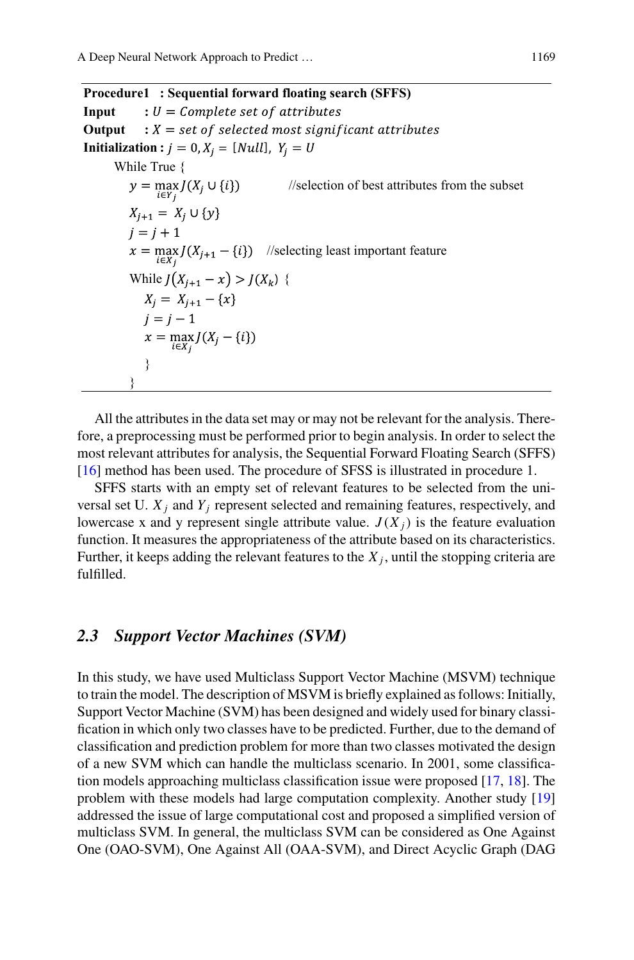**Procedure1 : Sequential forward floating search (SFFS) Input**  $: U = Complete set of attributes$ **Output**  $: X = set of selected most significant attributes$ **Initialization :**  $j = 0, X_i = [Null], Y_i = U$ While True {<br> $y = \max_{i \in Y_i} J(X_i \cup \{i\})$  //selection of best attributes from the subset  $X_{i+1} = X_i \cup \{y\}$  $i = i + 1$  $x = \max_{i \in X_j} J(X_{j+1} - \{i\})$  //selecting least important feature While  $J(X_{i+1} - x) > J(X_k)$  {  $X_i = X_{i+1} - \{x\}$  $i = i - 1$  $x = \max_{i \in X_j} J(X_j - \{i\})$  } }

All the attributes in the data set may or may not be relevant for the analysis. Therefore, a preprocessing must be performed prior to begin analysis. In order to select the most relevant attributes for analysis, the Sequential Forward Floating Search (SFFS) [16] method has been used. The procedure of SFSS is illustrated in procedure 1.

SFFS starts with an empty set of relevant features to be selected from the universal set U. *X <sup>j</sup>* and *Yj* represent selected and remaining features, respectively, and lowercase x and y represent single attribute value.  $J(X_i)$  is the feature evaluation function. It measures the appropriateness of the attribute based on its characteristics. Further, it keeps adding the relevant features to the  $X_j$ , until the stopping criteria are fulfilled.

#### *2.3 Support Vector Machines (SVM)*

In this study, we have used Multiclass Support Vector Machine (MSVM) technique to train the model. The description of MSVM is briefly explained as follows: Initially, Support Vector Machine (SVM) has been designed and widely used for binary classification in which only two classes have to be predicted. Further, due to the demand of classification and prediction problem for more than two classes motivated the design of a new SVM which can handle the multiclass scenario. In 2001, some classification models approaching multiclass classification issue were proposed [17, 18]. The problem with these models had large computation complexity. Another study [19] addressed the issue of large computational cost and proposed a simplified version of multiclass SVM. In general, the multiclass SVM can be considered as One Against One (OAO-SVM), One Against All (OAA-SVM), and Direct Acyclic Graph (DAG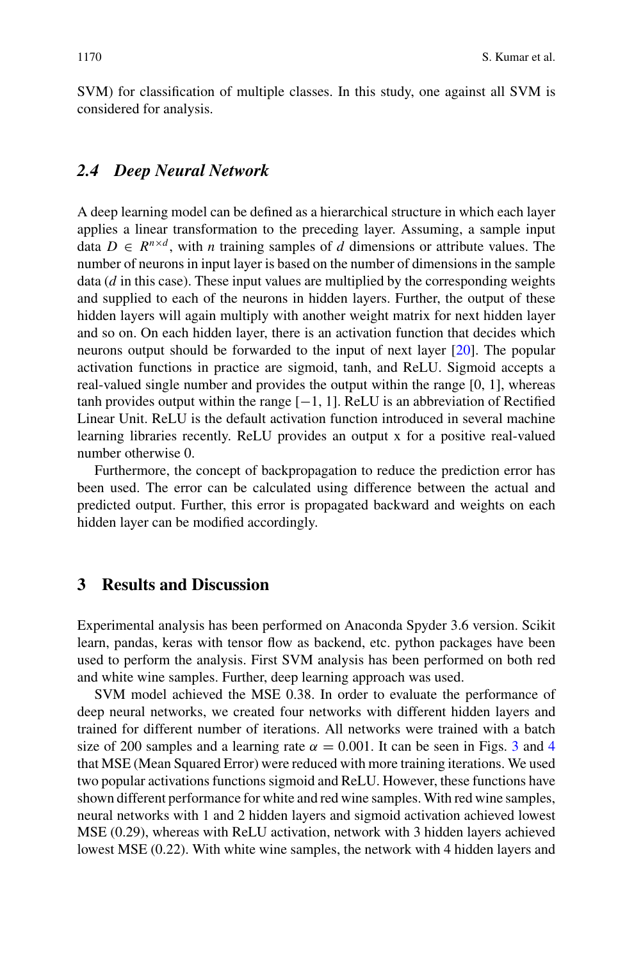SVM) for classification of multiple classes. In this study, one against all SVM is considered for analysis.

#### *2.4 Deep Neural Network*

A deep learning model can be defined as a hierarchical structure in which each layer applies a linear transformation to the preceding layer. Assuming, a sample input data  $D \in R^{n \times d}$ , with *n* training samples of *d* dimensions or attribute values. The number of neurons in input layer is based on the number of dimensions in the sample data (*d* in this case). These input values are multiplied by the corresponding weights and supplied to each of the neurons in hidden layers. Further, the output of these hidden layers will again multiply with another weight matrix for next hidden layer and so on. On each hidden layer, there is an activation function that decides which neurons output should be forwarded to the input of next layer [20]. The popular activation functions in practice are sigmoid, tanh, and ReLU. Sigmoid accepts a real-valued single number and provides the output within the range [0, 1], whereas tanh provides output within the range  $[-1, 1]$ . ReLU is an abbreviation of Rectified Linear Unit. ReLU is the default activation function introduced in several machine learning libraries recently. ReLU provides an output x for a positive real-valued number otherwise 0.

Furthermore, the concept of backpropagation to reduce the prediction error has been used. The error can be calculated using difference between the actual and predicted output. Further, this error is propagated backward and weights on each hidden layer can be modified accordingly.

## **3 Results and Discussion**

Experimental analysis has been performed on Anaconda Spyder 3.6 version. Scikit learn, pandas, keras with tensor flow as backend, etc. python packages have been used to perform the analysis. First SVM analysis has been performed on both red and white wine samples. Further, deep learning approach was used.

SVM model achieved the MSE 0.38. In order to evaluate the performance of deep neural networks, we created four networks with different hidden layers and trained for different number of iterations. All networks were trained with a batch size of 200 samples and a learning rate  $\alpha = 0.001$ . It can be seen in Figs. 3 and 4 that MSE (Mean Squared Error) were reduced with more training iterations. We used two popular activations functions sigmoid and ReLU. However, these functions have shown different performance for white and red wine samples. With red wine samples, neural networks with 1 and 2 hidden layers and sigmoid activation achieved lowest MSE (0.29), whereas with ReLU activation, network with 3 hidden layers achieved lowest MSE (0.22). With white wine samples, the network with 4 hidden layers and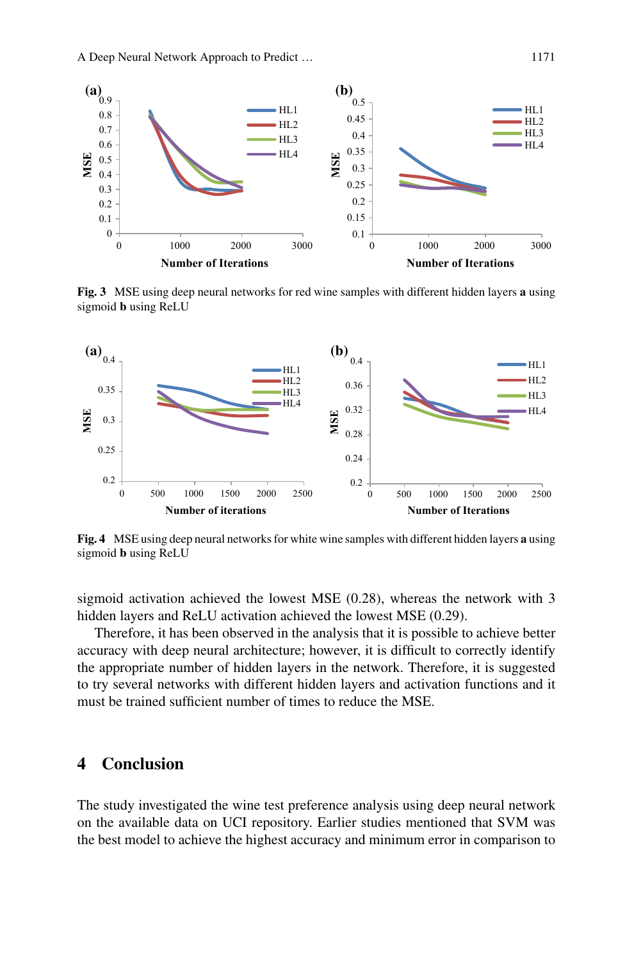

**Fig. 3** MSE using deep neural networks for red wine samples with different hidden layers **a** using sigmoid **b** using ReLU



**Fig. 4** MSE using deep neural networks for white wine samples with different hidden layers **a** using sigmoid **b** using ReLU

sigmoid activation achieved the lowest MSE (0.28), whereas the network with 3 hidden layers and ReLU activation achieved the lowest MSE (0.29).

Therefore, it has been observed in the analysis that it is possible to achieve better accuracy with deep neural architecture; however, it is difficult to correctly identify the appropriate number of hidden layers in the network. Therefore, it is suggested to try several networks with different hidden layers and activation functions and it must be trained sufficient number of times to reduce the MSE.

### **4 Conclusion**

The study investigated the wine test preference analysis using deep neural network on the available data on UCI repository. Earlier studies mentioned that SVM was the best model to achieve the highest accuracy and minimum error in comparison to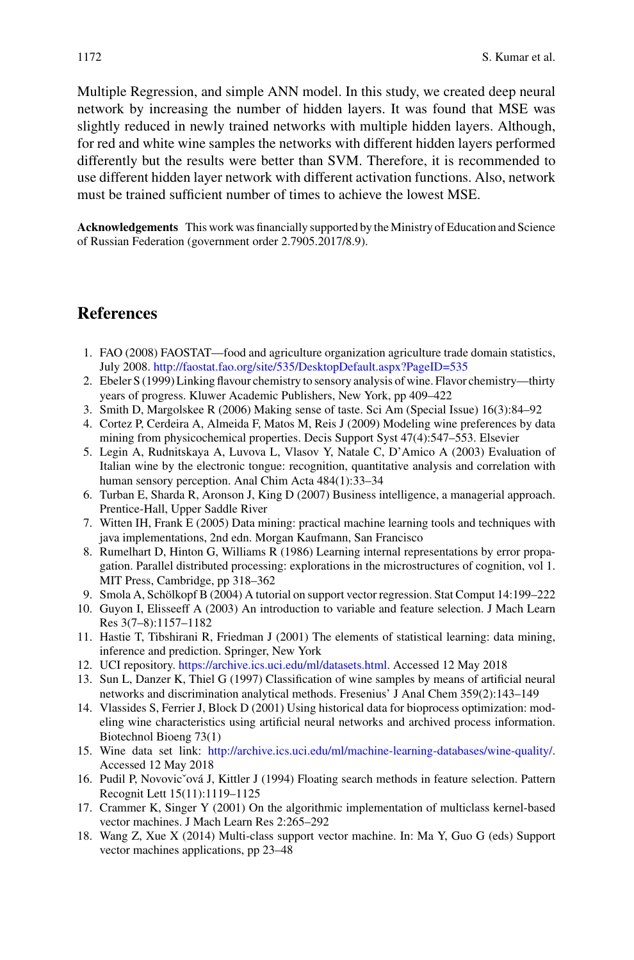Multiple Regression, and simple ANN model. In this study, we created deep neural network by increasing the number of hidden layers. It was found that MSE was slightly reduced in newly trained networks with multiple hidden layers. Although, for red and white wine samples the networks with different hidden layers performed differently but the results were better than SVM. Therefore, it is recommended to use different hidden layer network with different activation functions. Also, network must be trained sufficient number of times to achieve the lowest MSE.

**Acknowledgements** This work was financially supported by the Ministry of Education and Science of Russian Federation (government order 2.7905.2017/8.9).

#### **References**

- 1. FAO (2008) FAOSTAT—food and agriculture organization agriculture trade domain statistics, July 2008. <http://faostat.fao.org/site/535/DesktopDefault.aspx?PageID=535>
- 2. Ebeler S (1999) Linking flavour chemistry to sensory analysis of wine. Flavor chemistry—thirty years of progress. Kluwer Academic Publishers, New York, pp 409–422
- 3. Smith D, Margolskee R (2006) Making sense of taste. Sci Am (Special Issue) 16(3):84–92
- 4. Cortez P, Cerdeira A, Almeida F, Matos M, Reis J (2009) Modeling wine preferences by data mining from physicochemical properties. Decis Support Syst 47(4):547–553. Elsevier
- 5. Legin A, Rudnitskaya A, Luvova L, Vlasov Y, Natale C, D'Amico A (2003) Evaluation of Italian wine by the electronic tongue: recognition, quantitative analysis and correlation with human sensory perception. Anal Chim Acta 484(1):33–34
- 6. Turban E, Sharda R, Aronson J, King D (2007) Business intelligence, a managerial approach. Prentice-Hall, Upper Saddle River
- 7. Witten IH, Frank E (2005) Data mining: practical machine learning tools and techniques with java implementations, 2nd edn. Morgan Kaufmann, San Francisco
- 8. Rumelhart D, Hinton G, Williams R (1986) Learning internal representations by error propagation. Parallel distributed processing: explorations in the microstructures of cognition, vol 1. MIT Press, Cambridge, pp 318–362
- 9. Smola A, Schölkopf B (2004) A tutorial on support vector regression. Stat Comput 14:199–222
- 10. Guyon I, Elisseeff A (2003) An introduction to variable and feature selection. J Mach Learn Res 3(7–8):1157–1182
- 11. Hastie T, Tibshirani R, Friedman J (2001) The elements of statistical learning: data mining, inference and prediction. Springer, New York
- 12. UCI repository. [https://archive.ics.uci.edu/ml/datasets.html.](https://archive.ics.uci.edu/ml/datasets.html) Accessed 12 May 2018
- 13. Sun L, Danzer K, Thiel G (1997) Classification of wine samples by means of artificial neural networks and discrimination analytical methods. Fresenius' J Anal Chem 359(2):143–149
- 14. Vlassides S, Ferrier J, Block D (2001) Using historical data for bioprocess optimization: modeling wine characteristics using artificial neural networks and archived process information. Biotechnol Bioeng 73(1)
- 15. Wine data set link: [http://archive.ics.uci.edu/ml/machine-learning-databases/wine-quality/.](http://archive.ics.uci.edu/ml/machine-learning-databases/wine-quality/) Accessed 12 May 2018
- 16. Pudil P, Novovicˇová J, Kittler J (1994) Floating search methods in feature selection. Pattern Recognit Lett 15(11):1119–1125
- 17. Crammer K, Singer Y (2001) On the algorithmic implementation of multiclass kernel-based vector machines. J Mach Learn Res 2:265–292
- 18. Wang Z, Xue X (2014) Multi-class support vector machine. In: Ma Y, Guo G (eds) Support vector machines applications, pp 23–48